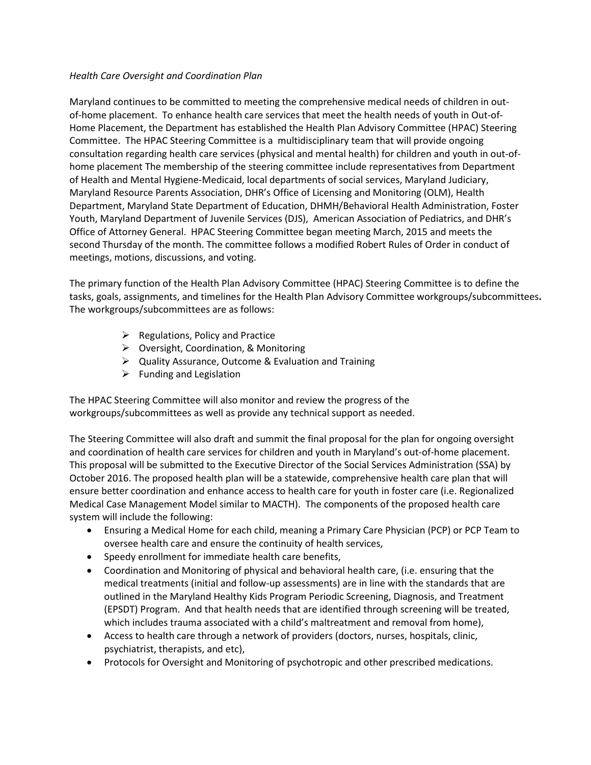## *Health Care Oversight and Coordination Plan*

Maryland continues to be committed to meeting the comprehensive medical needs of children in outof-home placement. To enhance health care services that meet the health needs of youth in Out-of-Home Placement, the Department has established the Health Plan Advisory Committee (HPAC) Steering Committee. The HPAC Steering Committee is a multidisciplinary team that will provide ongoing consultation regarding health care services (physical and mental health) for children and youth in out-ofhome placement The membership of the steering committee include representatives from Department of Health and Mental Hygiene-Medicaid, local departments of social services, Maryland Judiciary, Maryland Resource Parents Association, DHR's Office of Licensing and Monitoring (OLM), Health Department, Maryland State Department of Education, DHMH/Behavioral Health Administration, Foster Youth, Maryland Department of Juvenile Services (DJS), American Association of Pediatrics, and DHR's Office of Attorney General. HPAC Steering Committee began meeting March, 2015 and meets the second Thursday of the month. The committee follows a modified Robert Rules of Order in conduct of meetings, motions, discussions, and voting.

The primary function of the Health Plan Advisory Committee (HPAC) Steering Committee is to define the tasks, goals, assignments, and timelines for the Health Plan Advisory Committee workgroups/subcommittees**.**  The workgroups/subcommittees are as follows:

- $\triangleright$  Regulations, Policy and Practice
- Oversight, Coordination, & Monitoring
- Quality Assurance, Outcome & Evaluation and Training
- $\triangleright$  Funding and Legislation

The HPAC Steering Committee will also monitor and review the progress of the workgroups/subcommittees as well as provide any technical support as needed.

The Steering Committee will also draft and summit the final proposal for the plan for ongoing oversight and coordination of health care services for children and youth in Maryland's out-of-home placement. This proposal will be submitted to the Executive Director of the Social Services Administration (SSA) by October 2016. The proposed health plan will be a statewide, comprehensive health care plan that will ensure better coordination and enhance access to health care for youth in foster care (i.e. Regionalized Medical Case Management Model similar to MACTH). The components of the proposed health care system will include the following:

- Ensuring a Medical Home for each child, meaning a Primary Care Physician (PCP) or PCP Team to oversee health care and ensure the continuity of health services,
- Speedy enrollment for immediate health care benefits,
- Coordination and Monitoring of physical and behavioral health care, (i.e. ensuring that the medical treatments (initial and follow-up assessments) are in line with the standards that are outlined in the Maryland Healthy Kids Program Periodic Screening, Diagnosis, and Treatment (EPSDT) Program. And that health needs that are identified through screening will be treated, which includes trauma associated with a child's maltreatment and removal from home),
- Access to health care through a network of providers (doctors, nurses, hospitals, clinic, psychiatrist, therapists, and etc),
- Protocols for Oversight and Monitoring of psychotropic and other prescribed medications.